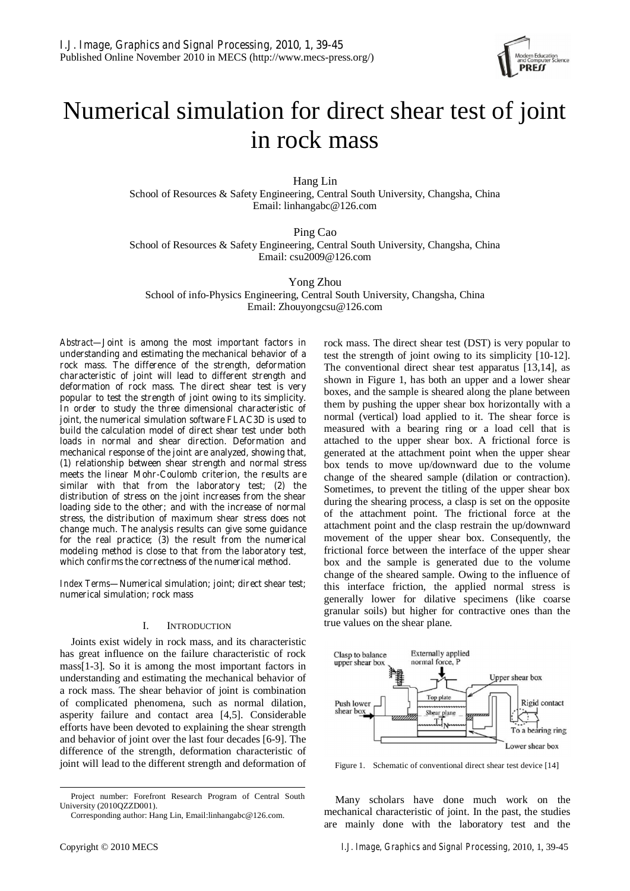

# Numerical simulation for direct shear test of joint in rock mass

Hang Lin

School of Resources & Safety Engineering, Central South University, Changsha, China Email: linhangabc@126.com

Ping Cao

School of Resources & Safety Engineering, Central South University, Changsha, China Email: csu2009@126.com

Yong Zhou

School of info-Physics Engineering, Central South University, Changsha, China Email: Zhouyongcsu@126.com

*Abstract***—Joint is among the most important factors in understanding and estimating the mechanical behavior of a rock mass. The difference of the strength, deformation characteristic of joint will lead to different strength and deformation of rock mass. The direct shear test is very popular to test the strength of joint owing to its simplicity. In order to study the three dimensional characteristic of joint, the numerical simulation software FLAC3D is used to build the calculation model of direct shear test under both loads in normal and shear direction. Deformation and mechanical response of the joint are analyzed, showing that, (1) relationship between shear strength and normal stress meets the linear Mohr-Coulomb criterion, the results are similar with that from the laboratory test; (2) the distribution of stress on the joint increases from the shear loading side to the other; and with the increase of normal stress, the distribution of maximum shear stress does not change much. The analysis results can give some guidance for the real practice; (3) the result from the numerical modeling method is close to that from the laboratory test, which confirms the correctness of the numerical method.** 

*Index Terms***—Numerical simulation; joint; direct shear test; numerical simulation; rock mass** 

# I. INTRODUCTION

Joints exist widely in rock mass, and its characteristic has great influence on the failure characteristic of rock mass[1-3]. So it is among the most important factors in understanding and estimating the mechanical behavior of a rock mass. The shear behavior of joint is combination of complicated phenomena, such as normal dilation, asperity failure and contact area [4,5]. Considerable efforts have been devoted to explaining the shear strength and behavior of joint over the last four decades [6-9]. The difference of the strength, deformation characteristic of joint will lead to the different strength and deformation of rock mass. The direct shear test (DST) is very popular to test the strength of joint owing to its simplicity [10-12]. The conventional direct shear test apparatus [13,14], as shown in Figure 1, has both an upper and a lower shear boxes, and the sample is sheared along the plane between them by pushing the upper shear box horizontally with a normal (vertical) load applied to it. The shear force is measured with a bearing ring or a load cell that is attached to the upper shear box. A frictional force is generated at the attachment point when the upper shear box tends to move up/downward due to the volume change of the sheared sample (dilation or contraction). Sometimes, to prevent the titling of the upper shear box during the shearing process, a clasp is set on the opposite of the attachment point. The frictional force at the attachment point and the clasp restrain the up/downward movement of the upper shear box. Consequently, the frictional force between the interface of the upper shear box and the sample is generated due to the volume change of the sheared sample. Owing to the influence of this interface friction, the applied normal stress is generally lower for dilative specimens (like coarse granular soils) but higher for contractive ones than the true values on the shear plane.



Figure 1. Schematic of conventional direct shear test device [14]

Many scholars have done much work on the mechanical characteristic of joint. In the past, the studies are mainly done with the laboratory test and the

Project number: Forefront Research Program of Central South University (2010QZZD001).

Corresponding author: Hang Lin, Email:linhangabc@126.com.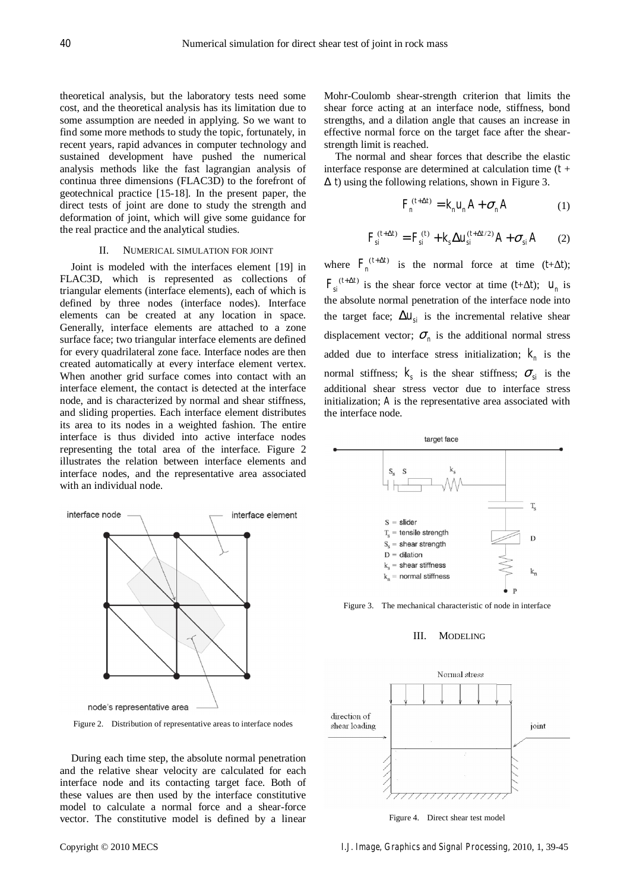theoretical analysis, but the laboratory tests need some cost, and the theoretical analysis has its limitation due to some assumption are needed in applying. So we want to find some more methods to study the topic, fortunately, in recent years, rapid advances in computer technology and sustained development have pushed the numerical analysis methods like the fast lagrangian analysis of continua three dimensions (FLAC3D) to the forefront of geotechnical practice [15-18]. In the present paper, the direct tests of joint are done to study the strength and deformation of joint, which will give some guidance for the real practice and the analytical studies.

## II. NUMERICAL SIMULATION FOR JOINT

Joint is modeled with the interfaces element [19] in FLAC3D, which is represented as collections of triangular elements (interface elements), each of which is defined by three nodes (interface nodes). Interface elements can be created at any location in space. Generally, interface elements are attached to a zone surface face; two triangular interface elements are defined for every quadrilateral zone face. Interface nodes are then created automatically at every interface element vertex. When another grid surface comes into contact with an interface element, the contact is detected at the interface node, and is characterized by normal and shear stiffness, and sliding properties. Each interface element distributes its area to its nodes in a weighted fashion. The entire interface is thus divided into active interface nodes representing the total area of the interface. Figure 2 illustrates the relation between interface elements and interface nodes, and the representative area associated with an individual node.



Figure 2. Distribution of representative areas to interface nodes

During each time step, the absolute normal penetration and the relative shear velocity are calculated for each interface node and its contacting target face. Both of these values are then used by the interface constitutive model to calculate a normal force and a shear-force vector. The constitutive model is defined by a linear

Mohr-Coulomb shear-strength criterion that limits the shear force acting at an interface node, stiffness, bond strengths, and a dilation angle that causes an increase in effective normal force on the target face after the shearstrength limit is reached.

The normal and shear forces that describe the elastic interface response are determined at calculation time (*t* + *t*) using the following relations, shown in Figure 3.

$$
F_n^{(t+\Delta t)} = k_n u_n A + \sigma_n A \tag{1}
$$

$$
F_{si}^{(t+\Delta t)} = F_{si}^{(t)} + k_s \Delta u_{si}^{(t+\Delta t/2)} A + \sigma_{si} A
$$
 (2)

where  $F_n^{(t+\Delta t)}$  is the normal force at time  $(t+t)$ ;  $F_{si}^{(t+\Delta t)}$  is the shear force vector at time (*t*+ *t*);  $u_n$  is the absolute normal penetration of the interface node into the target face;  $\Delta u_{si}$  is the incremental relative shear displacement vector;  $\sigma_n$  is the additional normal stress added due to interface stress initialization;  $k<sub>n</sub>$  is the normal stiffness;  $k<sub>s</sub>$  is the shear stiffness;  $\sigma<sub>si</sub>$  is the additional shear stress vector due to interface stress initialization; *A* is the representative area associated with the interface node.



Figure 3. The mechanical characteristic of node in interface

#### III. MODELING



Figure 4. Direct shear test model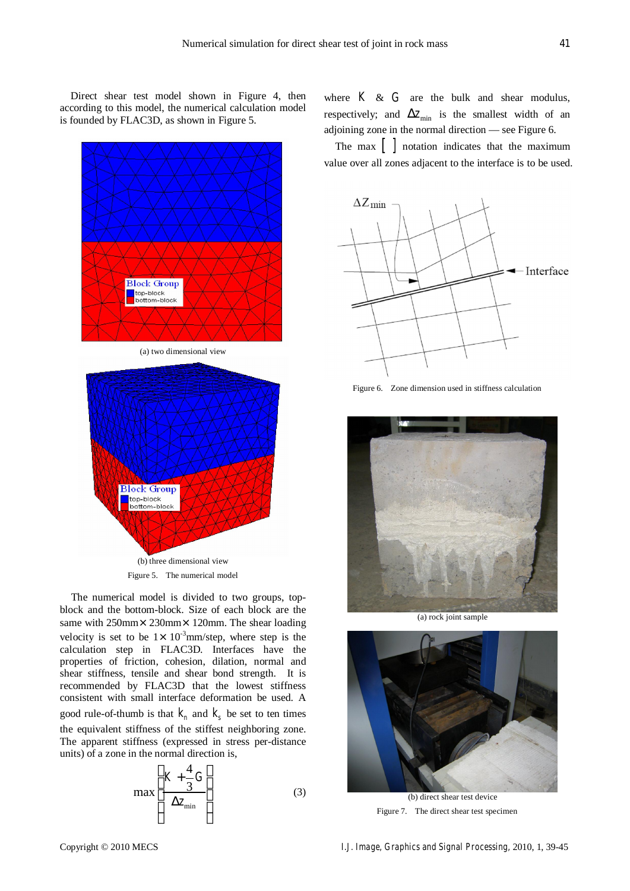Direct shear test model shown in Figure 4, then according to this model, the numerical calculation model is founded by FLAC3D, as shown in Figure 5.



The numerical model is divided to two groups, topblock and the bottom-block. Size of each block are the same with 250mm×230mm×120mm. The shear loading velocity is set to be  $1 \times 10^{-3}$ mm/step, where step is the calculation step in FLAC3D. Interfaces have the properties of friction, cohesion, dilation, normal and shear stiffness, tensile and shear bond strength. It is recommended by FLAC3D that the lowest stiffness consistent with small interface deformation be used. A good rule-of-thumb is that  $k_n$  and  $k_s$  be set to ten times

the equivalent stiffness of the stiffest neighboring zone. The apparent stiffness (expressed in stress per-distance units) of a zone in the normal direction is,

$$
\max \left[ \frac{K + \frac{4}{3}G}{\Delta z_{\min}} \right] \tag{3}
$$

where  $K \& G$  are the bulk and shear modulus, respectively; and  $\Delta z_{\text{min}}$  is the smallest width of an adjoining zone in the normal direction — see Figure 6.

The max  $\begin{bmatrix} \cdot & \cdot & \cdot \\ \cdot & \cdot & \cdot \\ \cdot & \cdot & \cdot \\ \cdot & \cdot & \cdot \end{bmatrix}$  notation indicates that the maximum value over all zones adjacent to the interface is to be used.



Figure 6. Zone dimension used in stiffness calculation



(a) rock joint sample



Figure 7. The direct shear test specimen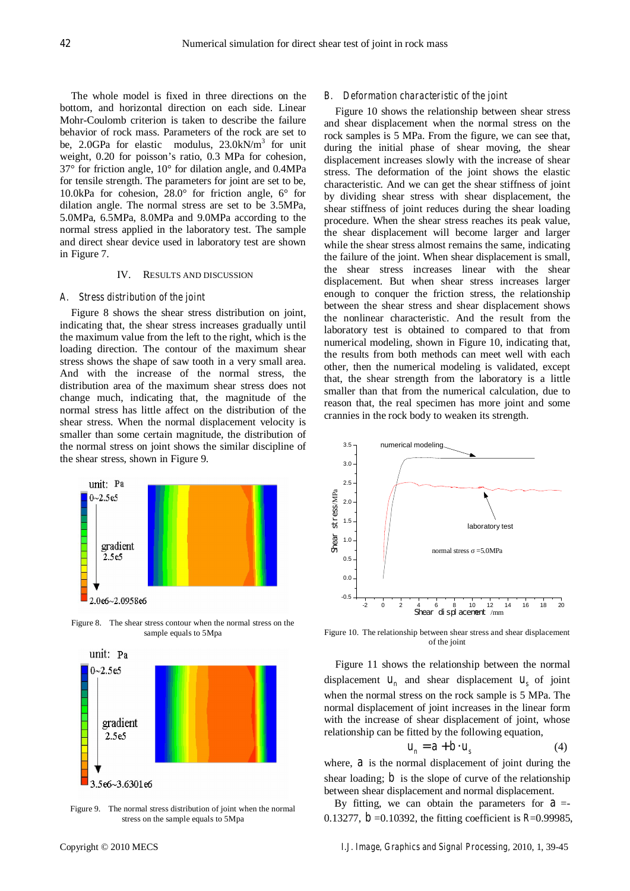The whole model is fixed in three directions on the bottom, and horizontal direction on each side. Linear Mohr-Coulomb criterion is taken to describe the failure behavior of rock mass. Parameters of the rock are set to be, 2.0GPa for elastic modulus,  $23.0 \text{kN/m}^3$  for unit weight, 0.20 for poisson's ratio, 0.3 MPa for cohesion, 37° for friction angle, 10° for dilation angle, and 0.4MPa for tensile strength. The parameters for joint are set to be, 10.0kPa for cohesion, 28.0° for friction angle, 6° for dilation angle. The normal stress are set to be 3.5MPa, 5.0MPa, 6.5MPa, 8.0MPa and 9.0MPa according to the normal stress applied in the laboratory test. The sample and direct shear device used in laboratory test are shown in Figure 7.

# IV. RESULTS AND DISCUSSION

## *A. Stress distribution of the joint*

Figure 8 shows the shear stress distribution on joint, indicating that, the shear stress increases gradually until the maximum value from the left to the right, which is the loading direction. The contour of the maximum shear stress shows the shape of saw tooth in a very small area. And with the increase of the normal stress, the distribution area of the maximum shear stress does not change much, indicating that, the magnitude of the normal stress has little affect on the distribution of the shear stress. When the normal displacement velocity is smaller than some certain magnitude, the distribution of the normal stress on joint shows the similar discipline of the shear stress, shown in Figure 9.



Figure 8. The shear stress contour when the normal stress on the sample equals to 5Mpa



Figure 9. The normal stress distribution of joint when the normal stress on the sample equals to 5Mpa

# *B. Deformation characteristic of the joint*

Figure 10 shows the relationship between shear stress and shear displacement when the normal stress on the rock samples is 5 MPa. From the figure, we can see that, during the initial phase of shear moving, the shear displacement increases slowly with the increase of shear stress. The deformation of the joint shows the elastic characteristic. And we can get the shear stiffness of joint by dividing shear stress with shear displacement, the shear stiffness of joint reduces during the shear loading procedure. When the shear stress reaches its peak value, the shear displacement will become larger and larger while the shear stress almost remains the same, indicating the failure of the joint. When shear displacement is small, the shear stress increases linear with the shear displacement. But when shear stress increases larger enough to conquer the friction stress, the relationship between the shear stress and shear displacement shows the nonlinear characteristic. And the result from the laboratory test is obtained to compared to that from numerical modeling, shown in Figure 10, indicating that, the results from both methods can meet well with each other, then the numerical modeling is validated, except that, the shear strength from the laboratory is a little smaller than that from the numerical calculation, due to reason that, the real specimen has more joint and some crannies in the rock body to weaken its strength.



Figure 10. The relationship between shear stress and shear displacement of the joint

Figure 11 shows the relationship between the normal displacement  $u_n$  and shear displacement  $u_s$  of joint when the normal stress on the rock sample is 5 MPa. The normal displacement of joint increases in the linear form with the increase of shear displacement of joint, whose relationship can be fitted by the following equation,

$$
u_n = a + b \cdot u_s \tag{4}
$$

where,  $a$  is the normal displacement of joint during the shear loading;  $\dot{b}$  is the slope of curve of the relationship between shear displacement and normal displacement.

By fitting, we can obtain the parameters for  $a =$ 0.13277, *b* =0.10392, the fitting coefficient is *R*=0.99985,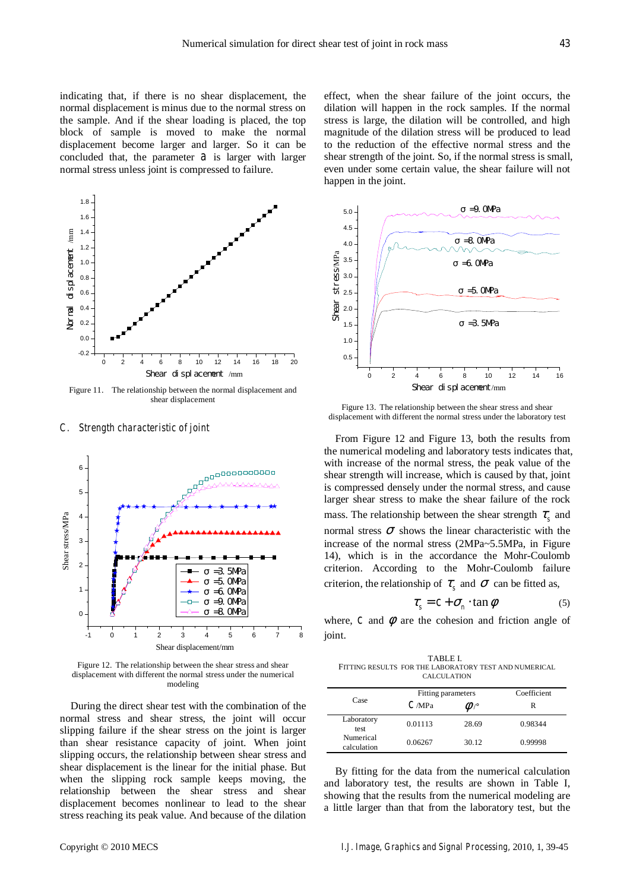indicating that, if there is no shear displacement, the normal displacement is minus due to the normal stress on the sample. And if the shear loading is placed, the top block of sample is moved to make the normal displacement become larger and larger. So it can be concluded that, the parameter  $a$  is larger with larger normal stress unless joint is compressed to failure.



Figure 11. The relationship between the normal displacement and shear displacement

## *C. Strength characteristic of joint*



Figure 12. The relationship between the shear stress and shear displacement with different the normal stress under the numerical modeling

During the direct shear test with the combination of the normal stress and shear stress, the joint will occur slipping failure if the shear stress on the joint is larger than shear resistance capacity of joint. When joint slipping occurs, the relationship between shear stress and shear displacement is the linear for the initial phase. But when the slipping rock sample keeps moving, the relationship between the shear stress and shear displacement becomes nonlinear to lead to the shear stress reaching its peak value. And because of the dilation effect, when the shear failure of the joint occurs, the dilation will happen in the rock samples. If the normal stress is large, the dilation will be controlled, and high magnitude of the dilation stress will be produced to lead to the reduction of the effective normal stress and the shear strength of the joint. So, if the normal stress is small, even under some certain value, the shear failure will not happen in the joint.



Figure 13. The relationship between the shear stress and shear displacement with different the normal stress under the laboratory test

From Figure 12 and Figure 13, both the results from the numerical modeling and laboratory tests indicates that, with increase of the normal stress, the peak value of the shear strength will increase, which is caused by that, joint is compressed densely under the normal stress, and cause larger shear stress to make the shear failure of the rock mass. The relationship between the shear strength  $\tau<sub>s</sub>$  and normal stress  $\sigma$  shows the linear characteristic with the increase of the normal stress (2MPa~5.5MPa, in Figure 14), which is in the accordance the Mohr-Coulomb criterion. According to the Mohr-Coulomb failure criterion, the relationship of  $\tau<sub>s</sub>$  and  $\sigma$  can be fitted as,

$$
\tau_s = c + \sigma_n \cdot \tan \phi \tag{5}
$$

where,  $c$  and  $\phi$  are the cohesion and friction angle of joint.

TABLE I. FITTING RESULTS FOR THE LABORATORY TEST AND NUMERICAL CALCULATION

| Case                     | Fitting parameters |                  | Coefficient |
|--------------------------|--------------------|------------------|-------------|
|                          | C/MPa              | $\mathcal{P}$ /° | R           |
| Laboratory<br>test.      | 0.01113            | 28.69            | 0.98344     |
| Numerical<br>calculation | 0.06267            | 30.12            | 0.99998     |

By fitting for the data from the numerical calculation and laboratory test, the results are shown in Table I, showing that the results from the numerical modeling are a little larger than that from the laboratory test, but the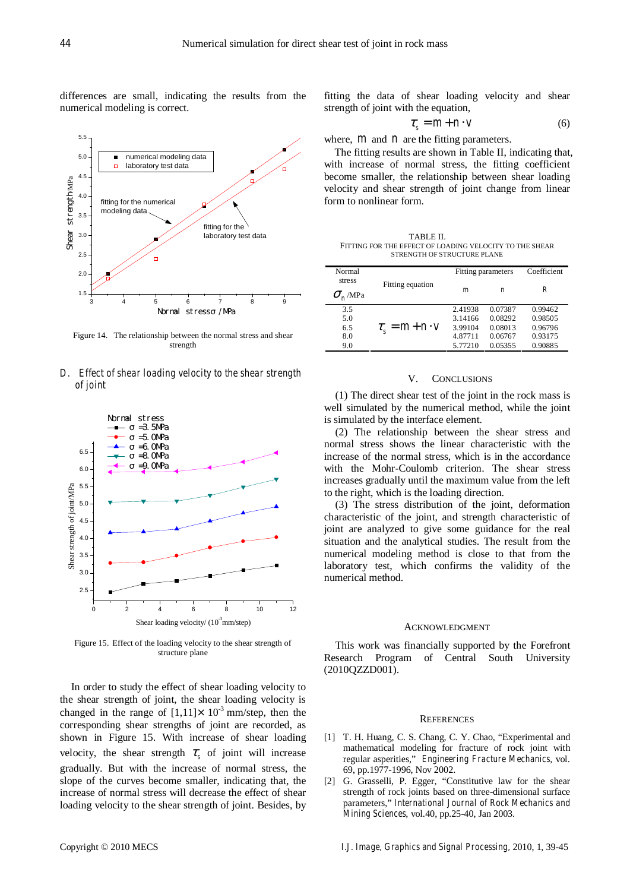differences are small, indicating the results from the numerical modeling is correct.



Figure 14. The relationship between the normal stress and shear strength

*D. Effect of shear loading velocity to the shear strength of joint* 



Figure 15. Effect of the loading velocity to the shear strength of structure plane

In order to study the effect of shear loading velocity to the shear strength of joint, the shear loading velocity is changed in the range of  $[1,11] \times 10^{-3}$  mm/step, then the corresponding shear strengths of joint are recorded, as shown in Figure 15. With increase of shear loading velocity, the shear strength  $\tau_{\rm s}$  of joint will increase gradually. But with the increase of normal stress, the slope of the curves become smaller, indicating that, the increase of normal stress will decrease the effect of shear loading velocity to the shear strength of joint. Besides, by

fitting the data of shear loading velocity and shear strength of joint with the equation,

$$
\tau_s = m + n \cdot v \tag{6}
$$

where,  $m$  and  $n$  are the fitting parameters.

The fitting results are shown in Table II, indicating that, with increase of normal stress, the fitting coefficient become smaller, the relationship between shear loading velocity and shear strength of joint change from linear form to nonlinear form.

TABLE II. FITTING FOR THE EFFECT OF LOADING VELOCITY TO THE SHEAR STRENGTH OF STRUCTURE PLANE

| Normal<br>stress      | Fitting equation               | Fitting parameters |                  | Coefficient |
|-----------------------|--------------------------------|--------------------|------------------|-------------|
| $\sigma_{\rm L}$ /MPa |                                | $\boldsymbol{m}$   | $\boldsymbol{n}$ | R           |
| 3.5                   | $\tau_{\rm c} = m + n \cdot v$ | 2.41938            | 0.07387          | 0.99462     |
| 5.0                   |                                | 3.14166            | 0.08292          | 0.98505     |
| 6.5                   |                                | 3.99104            | 0.08013          | 0.96796     |
| 8.0                   |                                | 4.87711            | 0.06767          | 0.93175     |
| 9.0                   |                                | 5.77210            | 0.05355          | 0.90885     |

## V. CONCLUSIONS

(1) The direct shear test of the joint in the rock mass is well simulated by the numerical method, while the joint is simulated by the interface element.

(2) The relationship between the shear stress and normal stress shows the linear characteristic with the increase of the normal stress, which is in the accordance with the Mohr-Coulomb criterion. The shear stress increases gradually until the maximum value from the left to the right, which is the loading direction.

(3) The stress distribution of the joint, deformation characteristic of the joint, and strength characteristic of joint are analyzed to give some guidance for the real situation and the analytical studies. The result from the numerical modeling method is close to that from the laboratory test, which confirms the validity of the numerical method.

#### ACKNOWLEDGMENT

This work was financially supported by the Forefront Research Program of Central South University (2010QZZD001).

#### **REFERENCES**

- [1] T. H. Huang, C. S. Chang, C. Y. Chao, "Experimental and mathematical modeling for fracture of rock joint with regular asperities," *Engineering Fracture Mechanics*, vol. 69, pp.1977-1996, Nov 2002.
- [2] G. Grasselli, P. Egger, "Constitutive law for the shear strength of rock joints based on three-dimensional surface parameters," *International Journal of Rock Mechanics and Mining Sciences*, vol.40, pp.25-40, Jan 2003.

Copyright © 2010 MECS *I.J. Image, Graphics and Signal Processing,* 2010, 1, 39-45